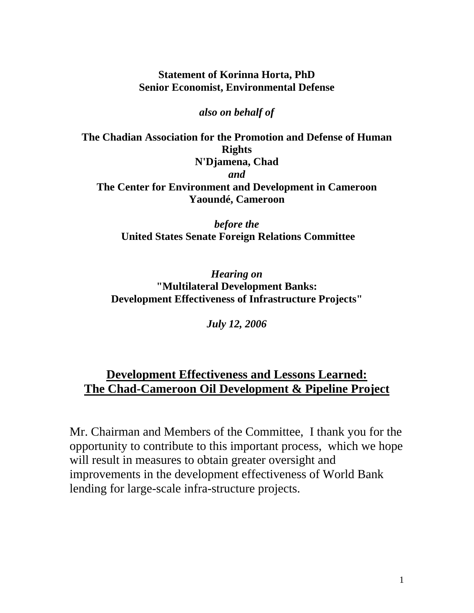**Statement of Korinna Horta, PhD Senior Economist, Environmental Defense** 

*also on behalf of* 

**The Chadian Association for the Promotion and Defense of Human Rights N'Djamena, Chad**  *and*  **The Center for Environment and Development in Cameroon Yaoundé, Cameroon** 

> *before the*   **United States Senate Foreign Relations Committee**

*Hearing on*  **"Multilateral Development Banks: Development Effectiveness of Infrastructure Projects"** 

*July 12, 2006* 

# **Development Effectiveness and Lessons Learned: The Chad-Cameroon Oil Development & Pipeline Project**

Mr. Chairman and Members of the Committee, I thank you for the opportunity to contribute to this important process, which we hope will result in measures to obtain greater oversight and improvements in the development effectiveness of World Bank lending for large-scale infra-structure projects.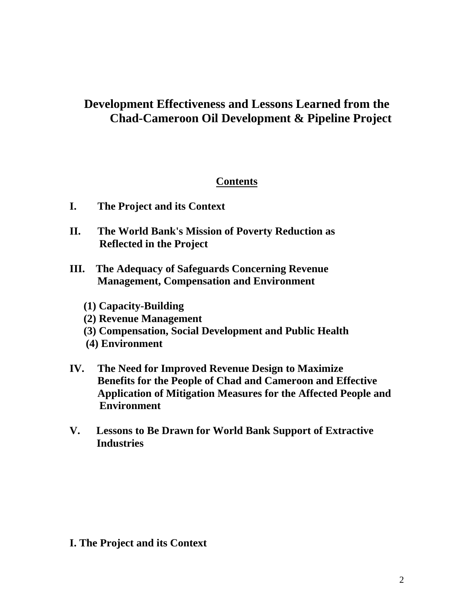# **Development Effectiveness and Lessons Learned from the Chad-Cameroon Oil Development & Pipeline Project**

## **Contents**

- **I. The Project and its Context**
- **II. The World Bank's Mission of Poverty Reduction as Reflected in the Project**
- **III. The Adequacy of Safeguards Concerning Revenue Management, Compensation and Environment** 
	- **(1) Capacity-Building**
	- **(2) Revenue Management**
	- **(3) Compensation, Social Development and Public Health**
	- **(4) Environment**
- **IV. The Need for Improved Revenue Design to Maximize Benefits for the People of Chad and Cameroon and Effective Application of Mitigation Measures for the Affected People and Environment**
- **V. Lessons to Be Drawn for World Bank Support of Extractive Industries**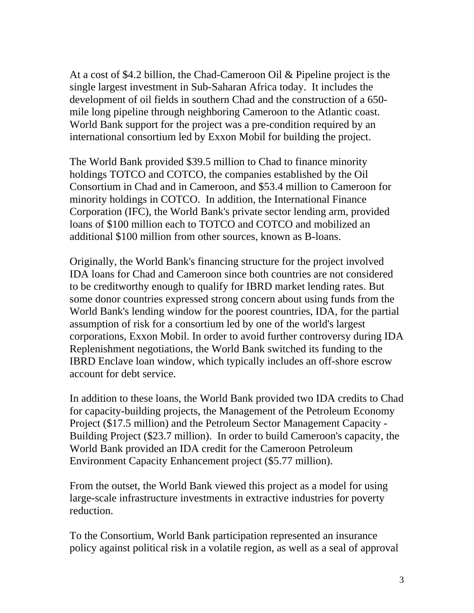At a cost of \$4.2 billion, the Chad-Cameroon Oil & Pipeline project is the single largest investment in Sub-Saharan Africa today. It includes the development of oil fields in southern Chad and the construction of a 650 mile long pipeline through neighboring Cameroon to the Atlantic coast. World Bank support for the project was a pre-condition required by an international consortium led by Exxon Mobil for building the project.

The World Bank provided \$39.5 million to Chad to finance minority holdings TOTCO and COTCO, the companies established by the Oil Consortium in Chad and in Cameroon, and \$53.4 million to Cameroon for minority holdings in COTCO. In addition, the International Finance Corporation (IFC), the World Bank's private sector lending arm, provided loans of \$100 million each to TOTCO and COTCO and mobilized an additional \$100 million from other sources, known as B-loans.

Originally, the World Bank's financing structure for the project involved IDA loans for Chad and Cameroon since both countries are not considered to be creditworthy enough to qualify for IBRD market lending rates. But some donor countries expressed strong concern about using funds from the World Bank's lending window for the poorest countries, IDA, for the partial assumption of risk for a consortium led by one of the world's largest corporations, Exxon Mobil. In order to avoid further controversy during IDA Replenishment negotiations, the World Bank switched its funding to the IBRD Enclave loan window, which typically includes an off-shore escrow account for debt service.

In addition to these loans, the World Bank provided two IDA credits to Chad for capacity-building projects, the Management of the Petroleum Economy Project (\$17.5 million) and the Petroleum Sector Management Capacity - Building Project (\$23.7 million). In order to build Cameroon's capacity, the World Bank provided an IDA credit for the Cameroon Petroleum Environment Capacity Enhancement project (\$5.77 million).

From the outset, the World Bank viewed this project as a model for using large-scale infrastructure investments in extractive industries for poverty reduction.

To the Consortium, World Bank participation represented an insurance policy against political risk in a volatile region, as well as a seal of approval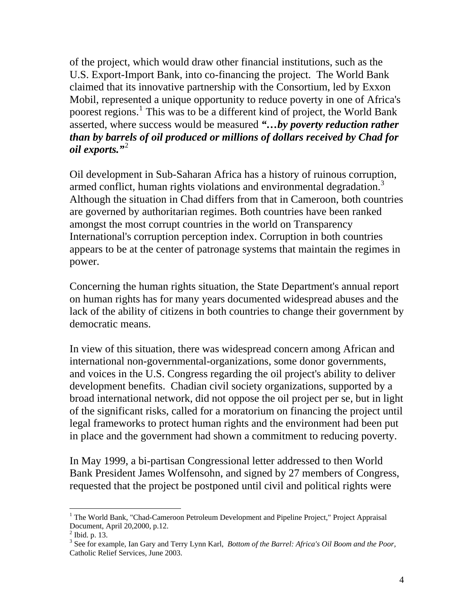of the project, which would draw other financial institutions, such as the U.S. Export-Import Bank, into co-financing the project. The World Bank claimed that its innovative partnership with the Consortium, led by Exxon Mobil, represented a unique opportunity to reduce poverty in one of Africa's poorest regions.<sup>[1](#page-3-0)</sup> This was to be a different kind of project, the World Bank asserted, where success would be measured *"…by poverty reduction rather than by barrels of oil produced or millions of dollars received by Chad for oil exports."*[2](#page-3-1)

Oil development in Sub-Saharan Africa has a history of ruinous corruption, armed conflict, human rights violations and environmental degradation.<sup>[3](#page-3-2)</sup> Although the situation in Chad differs from that in Cameroon, both countries are governed by authoritarian regimes. Both countries have been ranked amongst the most corrupt countries in the world on Transparency International's corruption perception index. Corruption in both countries appears to be at the center of patronage systems that maintain the regimes in power.

Concerning the human rights situation, the State Department's annual report on human rights has for many years documented widespread abuses and the lack of the ability of citizens in both countries to change their government by democratic means.

In view of this situation, there was widespread concern among African and international non-governmental-organizations, some donor governments, and voices in the U.S. Congress regarding the oil project's ability to deliver development benefits. Chadian civil society organizations, supported by a broad international network, did not oppose the oil project per se, but in light of the significant risks, called for a moratorium on financing the project until legal frameworks to protect human rights and the environment had been put in place and the government had shown a commitment to reducing poverty.

In May 1999, a bi-partisan Congressional letter addressed to then World Bank President James Wolfensohn, and signed by 27 members of Congress, requested that the project be postponed until civil and political rights were

<span id="page-3-0"></span><sup>&</sup>lt;sup>1</sup> The World Bank, "Chad-Cameroon Petroleum Development and Pipeline Project," Project Appraisal Document, April 20,2000, p.12.

<span id="page-3-1"></span> $<sup>2</sup>$  Ibid. p. 13.</sup>

<span id="page-3-2"></span><sup>3</sup> See for example, Ian Gary and Terry Lynn Karl, *Bottom of the Barrel: Africa's Oil Boom and the Poor,* Catholic Relief Services, June 2003.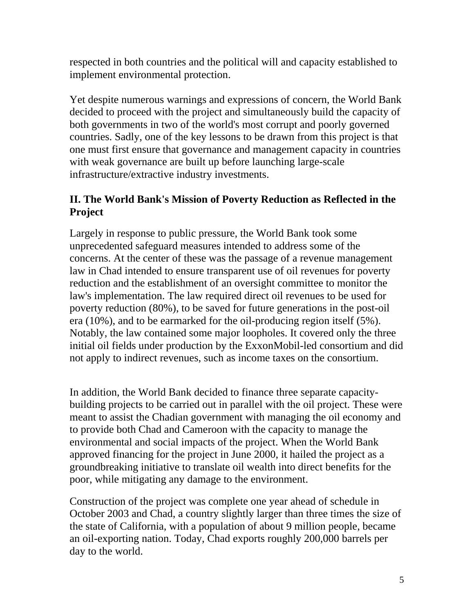respected in both countries and the political will and capacity established to implement environmental protection.

Yet despite numerous warnings and expressions of concern, the World Bank decided to proceed with the project and simultaneously build the capacity of both governments in two of the world's most corrupt and poorly governed countries. Sadly, one of the key lessons to be drawn from this project is that one must first ensure that governance and management capacity in countries with weak governance are built up before launching large-scale infrastructure/extractive industry investments.

# **II. The World Bank's Mission of Poverty Reduction as Reflected in the Project**

Largely in response to public pressure, the World Bank took some unprecedented safeguard measures intended to address some of the concerns. At the center of these was the passage of a revenue management law in Chad intended to ensure transparent use of oil revenues for poverty reduction and the establishment of an oversight committee to monitor the law's implementation. The law required direct oil revenues to be used for poverty reduction (80%), to be saved for future generations in the post-oil era (10%), and to be earmarked for the oil-producing region itself (5%). Notably, the law contained some major loopholes. It covered only the three initial oil fields under production by the ExxonMobil-led consortium and did not apply to indirect revenues, such as income taxes on the consortium.

In addition, the World Bank decided to finance three separate capacitybuilding projects to be carried out in parallel with the oil project. These were meant to assist the Chadian government with managing the oil economy and to provide both Chad and Cameroon with the capacity to manage the environmental and social impacts of the project. When the World Bank approved financing for the project in June 2000, it hailed the project as a groundbreaking initiative to translate oil wealth into direct benefits for the poor, while mitigating any damage to the environment.

Construction of the project was complete one year ahead of schedule in October 2003 and Chad, a country slightly larger than three times the size of the state of California, with a population of about 9 million people, became an oil-exporting nation. Today, Chad exports roughly 200,000 barrels per day to the world.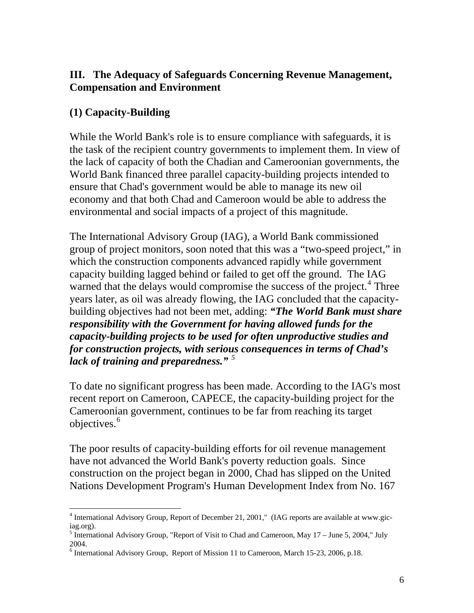## **III. The Adequacy of Safeguards Concerning Revenue Management, Compensation and Environment**

## **(1) Capacity-Building**

While the World Bank's role is to ensure compliance with safeguards, it is the task of the recipient country governments to implement them. In view of the lack of capacity of both the Chadian and Cameroonian governments, the World Bank financed three parallel capacity-building projects intended to ensure that Chad's government would be able to manage its new oil economy and that both Chad and Cameroon would be able to address the environmental and social impacts of a project of this magnitude.

The International Advisory Group (IAG), a World Bank commissioned group of project monitors, soon noted that this was a "two-speed project," in which the construction components advanced rapidly while government capacity building lagged behind or failed to get off the ground. The IAG warned that the delays would compromise the success of the project.<sup>[4](#page-5-0)</sup> Three years later, as oil was already flowing, the IAG concluded that the capacitybuilding objectives had not been met, adding: *"The World Bank must share responsibility with the Government for having allowed funds for the capacity-building projects to be used for often unproductive studies and for construction projects, with serious consequences in terms of Chad's lack of training and preparedness." [5](#page-5-1)*

To date no significant progress has been made. According to the IAG's most recent report on Cameroon, CAPECE, the capacity-building project for the Cameroonian government, continues to be far from reaching its target objectives.<sup>[6](#page-5-2)</sup>

The poor results of capacity-building efforts for oil revenue management have not advanced the World Bank's poverty reduction goals. Since construction on the project began in 2000, Chad has slipped on the United Nations Development Program's Human Development Index from No. 167

<span id="page-5-0"></span> $\overline{a}$ <sup>4</sup> International Advisory Group, Report of December 21, 2001," (IAG reports are available at www.giciag.org).

<span id="page-5-1"></span><sup>&</sup>lt;sup>5</sup> International Advisory Group, "Report of Visit to Chad and Cameroon, May 17 – June 5, 2004," July 2004.

<span id="page-5-2"></span><sup>&</sup>lt;sup>6</sup> International Advisory Group, Report of Mission 11 to Cameroon, March 15-23, 2006, p.18.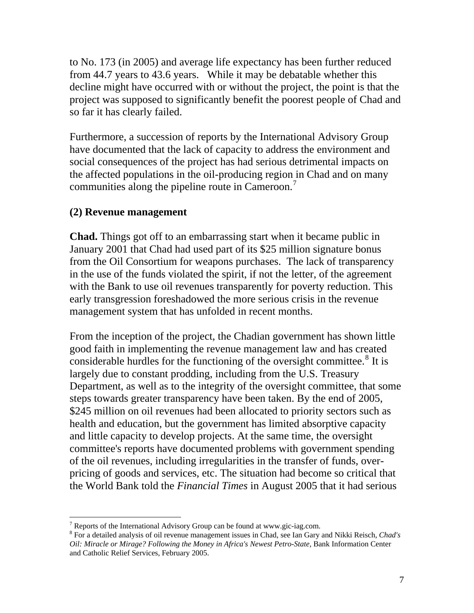to No. 173 (in 2005) and average life expectancy has been further reduced from 44.7 years to 43.6 years. While it may be debatable whether this decline might have occurred with or without the project, the point is that the project was supposed to significantly benefit the poorest people of Chad and so far it has clearly failed.

Furthermore, a succession of reports by the International Advisory Group have documented that the lack of capacity to address the environment and social consequences of the project has had serious detrimental impacts on the affected populations in the oil-producing region in Chad and on many communities along the pipeline route in Cameroon.<sup>[7](#page-6-0)</sup>

### **(2) Revenue management**

 $\overline{a}$ 

**Chad.** Things got off to an embarrassing start when it became public in January 2001 that Chad had used part of its \$25 million signature bonus from the Oil Consortium for weapons purchases. The lack of transparency in the use of the funds violated the spirit, if not the letter, of the agreement with the Bank to use oil revenues transparently for poverty reduction. This early transgression foreshadowed the more serious crisis in the revenue management system that has unfolded in recent months.

From the inception of the project, the Chadian government has shown little good faith in implementing the revenue management law and has created considerable hurdles for the functioning of the oversight committee. $8$  It is largely due to constant prodding, including from the U.S. Treasury Department, as well as to the integrity of the oversight committee, that some steps towards greater transparency have been taken. By the end of 2005, \$245 million on oil revenues had been allocated to priority sectors such as health and education, but the government has limited absorptive capacity and little capacity to develop projects. At the same time, the oversight committee's reports have documented problems with government spending of the oil revenues, including irregularities in the transfer of funds, overpricing of goods and services, etc. The situation had become so critical that the World Bank told the *Financial Times* in August 2005 that it had serious

<span id="page-6-0"></span><sup>&</sup>lt;sup>7</sup> Reports of the International Advisory Group can be found at www.gic-iag.com.

<span id="page-6-1"></span><sup>8</sup> For a detailed analysis of oil revenue management issues in Chad, see Ian Gary and Nikki Reisch, *Chad's Oil: Miracle or Mirage? Following the Money in Africa's Newest Petro-State,* Bank Information Center and Catholic Relief Services, February 2005.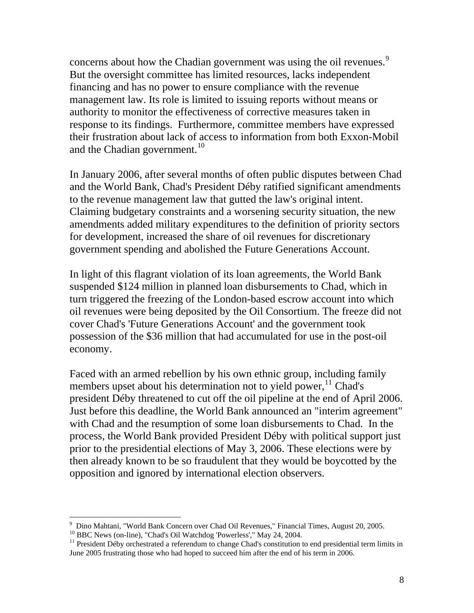concerns about how the Chadian government was using the oil revenues.<sup>[9](#page-7-0)</sup> But the oversight committee has limited resources, lacks independent financing and has no power to ensure compliance with the revenue management law. Its role is limited to issuing reports without means or authority to monitor the effectiveness of corrective measures taken in response to its findings. Furthermore, committee members have expressed their frustration about lack of access to information from both Exxon-Mobil and the Chadian government. $10$ 

In January 2006, after several months of often public disputes between Chad and the World Bank, Chad's President Déby ratified significant amendments to the revenue management law that gutted the law's original intent. Claiming budgetary constraints and a worsening security situation, the new amendments added military expenditures to the definition of priority sectors for development, increased the share of oil revenues for discretionary government spending and abolished the Future Generations Account.

In light of this flagrant violation of its loan agreements, the World Bank suspended \$124 million in planned loan disbursements to Chad, which in turn triggered the freezing of the London-based escrow account into which oil revenues were being deposited by the Oil Consortium. The freeze did not cover Chad's 'Future Generations Account' and the government took possession of the \$36 million that had accumulated for use in the post-oil economy.

Faced with an armed rebellion by his own ethnic group, including family members upset about his determination not to yield power,  $\frac{11}{11}$  $\frac{11}{11}$  $\frac{11}{11}$  Chad's president Déby threatened to cut off the oil pipeline at the end of April 2006. Just before this deadline, the World Bank announced an "interim agreement" with Chad and the resumption of some loan disbursements to Chad. In the process, the World Bank provided President Déby with political support just prior to the presidential elections of May 3, 2006. These elections were by then already known to be so fraudulent that they would be boycotted by the opposition and ignored by international election observers.

 9 Dino Mahtani, "World Bank Concern over Chad Oil Revenues," Financial Times, August 20, 2005.

<span id="page-7-2"></span><span id="page-7-1"></span><span id="page-7-0"></span><sup>10</sup> BBC News (on-line), "Chad's Oil Watchdog 'Powerless'," May 24, 2004.<br><sup>11</sup> President Déby orchestrated a referendum to change Chad's constitution to end presidential term limits in June 2005 frustrating those who had hoped to succeed him after the end of his term in 2006.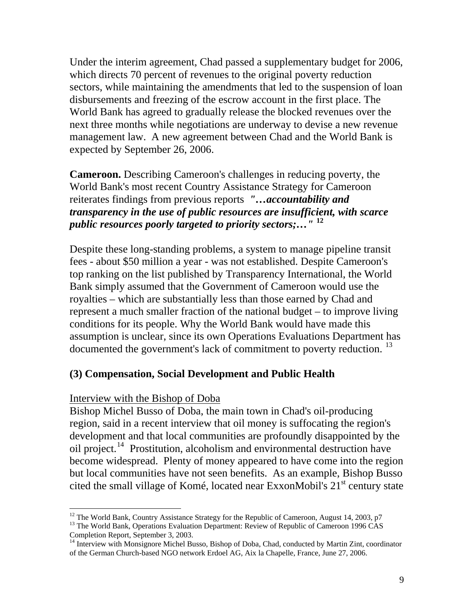Under the interim agreement, Chad passed a supplementary budget for 2006, which directs 70 percent of revenues to the original poverty reduction sectors, while maintaining the amendments that led to the suspension of loan disbursements and freezing of the escrow account in the first place. The World Bank has agreed to gradually release the blocked revenues over the next three months while negotiations are underway to devise a new revenue management law. A new agreement between Chad and the World Bank is expected by September 26, 2006.

**Cameroon.** Describing Cameroon's challenges in reducing poverty, the World Bank's most recent Country Assistance Strategy for Cameroon reiterates findings from previous reports *"…accountability and transparency in the use of public resources are insufficient, with scarce public resources poorly targeted to priority sectors;…"* **[12](#page-8-0)**

Despite these long-standing problems, a system to manage pipeline transit fees - about \$50 million a year - was not established. Despite Cameroon's top ranking on the list published by Transparency International, the World Bank simply assumed that the Government of Cameroon would use the royalties – which are substantially less than those earned by Chad and represent a much smaller fraction of the national budget – to improve living conditions for its people. Why the World Bank would have made this assumption is unclear, since its own Operations Evaluations Department has documented the government's lack of commitment to poverty reduction.<sup>[13](#page-8-1)</sup>

### **(3) Compensation, Social Development and Public Health**

#### Interview with the Bishop of Doba

 $\overline{a}$ 

Bishop Michel Busso of Doba, the main town in Chad's oil-producing region, said in a recent interview that oil money is suffocating the region's development and that local communities are profoundly disappointed by the oil project.<sup>[14](#page-8-2)</sup> Prostitution, alcoholism and environmental destruction have become widespread. Plenty of money appeared to have come into the region but local communities have not seen benefits. As an example, Bishop Busso cited the small village of Komé, located near ExxonMobil's  $21<sup>st</sup>$  century state

<span id="page-8-0"></span> $12$  The World Bank, Country Assistance Strategy for the Republic of Cameroon, August 14, 2003, p7

<span id="page-8-1"></span><sup>&</sup>lt;sup>13</sup> The World Bank, Operations Evaluation Department: Review of Republic of Cameroon 1996 CAS Completion Report, September 3, 2003.

<span id="page-8-2"></span><sup>&</sup>lt;sup>14</sup> Interview with Monsignore Michel Busso, Bishop of Doba, Chad, conducted by Martin Zint, coordinator of the German Church-based NGO network Erdoel AG, Aix la Chapelle, France, June 27, 2006.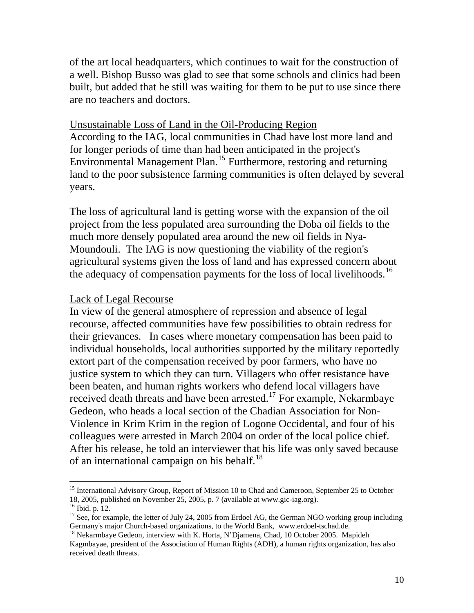of the art local headquarters, which continues to wait for the construction of a well. Bishop Busso was glad to see that some schools and clinics had been built, but added that he still was waiting for them to be put to use since there are no teachers and doctors.

### Unsustainable Loss of Land in the Oil-Producing Region

According to the IAG, local communities in Chad have lost more land and for longer periods of time than had been anticipated in the project's Environmental Management Plan.<sup>[15](#page-9-0)</sup> Furthermore, restoring and returning land to the poor subsistence farming communities is often delayed by several years.

The loss of agricultural land is getting worse with the expansion of the oil project from the less populated area surrounding the Doba oil fields to the much more densely populated area around the new oil fields in Nya-Moundouli. The IAG is now questioning the viability of the region's agricultural systems given the loss of land and has expressed concern about the adequacy of compensation payments for the loss of local livelihoods.<sup>[16](#page-9-1)</sup>

#### Lack of Legal Recourse

In view of the general atmosphere of repression and absence of legal recourse, affected communities have few possibilities to obtain redress for their grievances. In cases where monetary compensation has been paid to individual households, local authorities supported by the military reportedly extort part of the compensation received by poor farmers, who have no justice system to which they can turn. Villagers who offer resistance have been beaten, and human rights workers who defend local villagers have received death threats and have been arrested.<sup>[17](#page-9-2)</sup> For example, Nekarmbaye Gedeon, who heads a local section of the Chadian Association for Non-Violence in Krim Krim in the region of Logone Occidental, and four of his colleagues were arrested in March 2004 on order of the local police chief. After his release, he told an interviewer that his life was only saved because of an international campaign on his behalf.<sup>[18](#page-9-3)</sup>

<span id="page-9-0"></span><sup>&</sup>lt;sup>15</sup> International Advisory Group, Report of Mission 10 to Chad and Cameroon, September 25 to October 18, 2005, published on November 25, 2005, p. 7 (available at www.gic-iag.org).

<span id="page-9-1"></span><sup>16</sup> Ibid. p. 12.

<span id="page-9-2"></span> $17$  See, for example, the letter of July 24, 2005 from Erdoel AG, the German NGO working group including Germany's major Church-based organizations, to the World Bank, www.erdoel-tschad.de.

<span id="page-9-3"></span><sup>&</sup>lt;sup>18</sup> Nekarmbaye Gedeon, interview with K. Horta, N'Djamena, Chad, 10 October 2005. Mapideh Kagmbayae, president of the Association of Human Rights (ADH), a human rights organization, has also received death threats.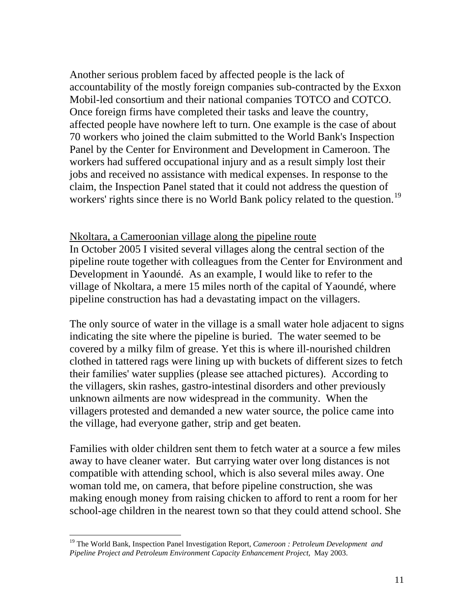Another serious problem faced by affected people is the lack of accountability of the mostly foreign companies sub-contracted by the Exxon Mobil-led consortium and their national companies TOTCO and COTCO. Once foreign firms have completed their tasks and leave the country, affected people have nowhere left to turn. One example is the case of about 70 workers who joined the claim submitted to the World Bank's Inspection Panel by the Center for Environment and Development in Cameroon. The workers had suffered occupational injury and as a result simply lost their jobs and received no assistance with medical expenses. In response to the claim, the Inspection Panel stated that it could not address the question of workers' rights since there is no World Bank policy related to the question.<sup>[19](#page-10-0)</sup>

#### Nkoltara, a Cameroonian village along the pipeline route

In October 2005 I visited several villages along the central section of the pipeline route together with colleagues from the Center for Environment and Development in Yaoundé. As an example, I would like to refer to the village of Nkoltara, a mere 15 miles north of the capital of Yaoundé, where pipeline construction has had a devastating impact on the villagers.

The only source of water in the village is a small water hole adjacent to signs indicating the site where the pipeline is buried. The water seemed to be covered by a milky film of grease. Yet this is where ill-nourished children clothed in tattered rags were lining up with buckets of different sizes to fetch their families' water supplies (please see attached pictures). According to the villagers, skin rashes, gastro-intestinal disorders and other previously unknown ailments are now widespread in the community. When the villagers protested and demanded a new water source, the police came into the village, had everyone gather, strip and get beaten.

Families with older children sent them to fetch water at a source a few miles away to have cleaner water. But carrying water over long distances is not compatible with attending school, which is also several miles away. One woman told me, on camera, that before pipeline construction, she was making enough money from raising chicken to afford to rent a room for her school-age children in the nearest town so that they could attend school. She

<span id="page-10-0"></span><sup>19</sup> The World Bank, Inspection Panel Investigation Report, *Cameroon : Petroleum Development and Pipeline Project and Petroleum Environment Capacity Enhancement Project,* May 2003.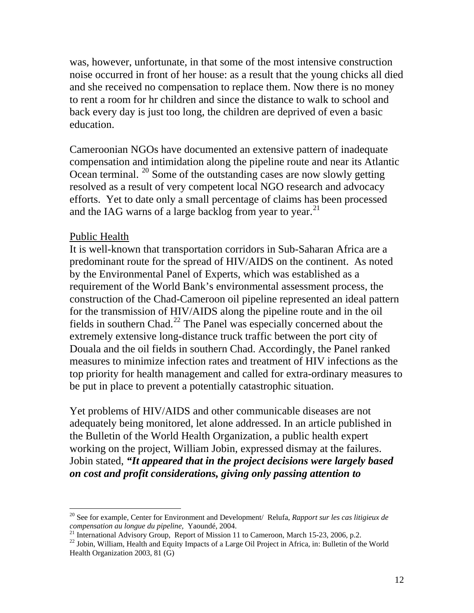was, however, unfortunate, in that some of the most intensive construction noise occurred in front of her house: as a result that the young chicks all died and she received no compensation to replace them. Now there is no money to rent a room for hr children and since the distance to walk to school and back every day is just too long, the children are deprived of even a basic education.

Cameroonian NGOs have documented an extensive pattern of inadequate compensation and intimidation along the pipeline route and near its Atlantic Ocean terminal.  $20$  Some of the outstanding cases are now slowly getting resolved as a result of very competent local NGO research and advocacy efforts. Yet to date only a small percentage of claims has been processed and the IAG warns of a large backlog from year to year.<sup>[21](#page-11-1)</sup>

### Public Health

 $\overline{a}$ 

It is well-known that transportation corridors in Sub-Saharan Africa are a predominant route for the spread of HIV/AIDS on the continent. As noted by the Environmental Panel of Experts, which was established as a requirement of the World Bank's environmental assessment process, the construction of the Chad-Cameroon oil pipeline represented an ideal pattern for the transmission of HIV/AIDS along the pipeline route and in the oil fields in southern Chad.<sup>[22](#page-11-2)</sup> The Panel was especially concerned about the extremely extensive long-distance truck traffic between the port city of Douala and the oil fields in southern Chad. Accordingly, the Panel ranked measures to minimize infection rates and treatment of HIV infections as the top priority for health management and called for extra-ordinary measures to be put in place to prevent a potentially catastrophic situation.

Yet problems of HIV/AIDS and other communicable diseases are not adequately being monitored, let alone addressed. In an article published in the Bulletin of the World Health Organization, a public health expert working on the project, William Jobin, expressed dismay at the failures. Jobin stated, *"It appeared that in the project decisions were largely based on cost and profit considerations, giving only passing attention to* 

<span id="page-11-0"></span><sup>20</sup> See for example, Center for Environment and Development/ Relufa, *Rapport sur les cas litigieux de compensation au longue du pipeline, Yaoundé, 2004.*<br><sup>21</sup> International Advisory Group, Report of Mission 11 to Cameroon, March 15-23, 2006, p.2.

<span id="page-11-1"></span>

<span id="page-11-2"></span><sup>&</sup>lt;sup>22</sup> Jobin, William, Health and Equity Impacts of a Large Oil Project in Africa, in: Bulletin of the World Health Organization 2003, 81 (G)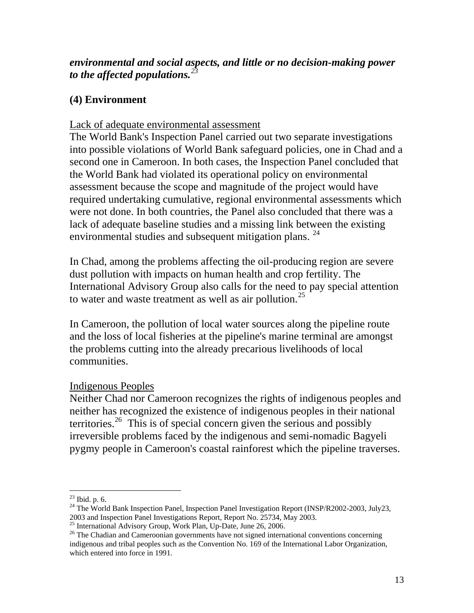## *environmental and social aspects, and little or no decision-making power to the affected populations.[23](#page-12-0)*

## **(4) Environment**

## Lack of adequate environmental assessment

The World Bank's Inspection Panel carried out two separate investigations into possible violations of World Bank safeguard policies, one in Chad and a second one in Cameroon. In both cases, the Inspection Panel concluded that the World Bank had violated its operational policy on environmental assessment because the scope and magnitude of the project would have required undertaking cumulative, regional environmental assessments which were not done. In both countries, the Panel also concluded that there was a lack of adequate baseline studies and a missing link between the existing environmental studies and subsequent mitigation plans. <sup>[24](#page-12-1)</sup>

In Chad, among the problems affecting the oil-producing region are severe dust pollution with impacts on human health and crop fertility. The International Advisory Group also calls for the need to pay special attention to water and waste treatment as well as air pollution.<sup>[25](#page-12-2)</sup>

In Cameroon, the pollution of local water sources along the pipeline route and the loss of local fisheries at the pipeline's marine terminal are amongst the problems cutting into the already precarious livelihoods of local communities.

## Indigenous Peoples

Neither Chad nor Cameroon recognizes the rights of indigenous peoples and neither has recognized the existence of indigenous peoples in their national territories.<sup>[26](#page-12-3)</sup> This is of special concern given the serious and possibly irreversible problems faced by the indigenous and semi-nomadic Bagyeli pygmy people in Cameroon's coastal rainforest which the pipeline traverses.

 $\overline{a}$  $^{23}$  Ibid. p. 6.

<span id="page-12-1"></span><span id="page-12-0"></span><sup>&</sup>lt;sup>24</sup> The World Bank Inspection Panel, Inspection Panel Investigation Report (INSP/R2002-2003, July23, 2003 and Inspection Panel Investigations Report, Report No. 25734, May 2003.

<span id="page-12-2"></span><sup>&</sup>lt;sup>25</sup> International Advisory Group, Work Plan, Up-Date, June 26, 2006.

<span id="page-12-3"></span><sup>&</sup>lt;sup>26</sup> The Chadian and Cameroonian governments have not signed international conventions concerning indigenous and tribal peoples such as the Convention No. 169 of the International Labor Organization, which entered into force in 1991.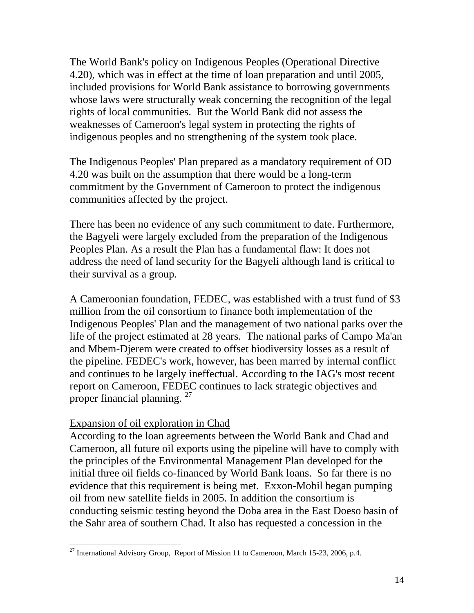The World Bank's policy on Indigenous Peoples (Operational Directive 4.20), which was in effect at the time of loan preparation and until 2005, included provisions for World Bank assistance to borrowing governments whose laws were structurally weak concerning the recognition of the legal rights of local communities. But the World Bank did not assess the weaknesses of Cameroon's legal system in protecting the rights of indigenous peoples and no strengthening of the system took place.

The Indigenous Peoples' Plan prepared as a mandatory requirement of OD 4.20 was built on the assumption that there would be a long-term commitment by the Government of Cameroon to protect the indigenous communities affected by the project.

There has been no evidence of any such commitment to date. Furthermore, the Bagyeli were largely excluded from the preparation of the Indigenous Peoples Plan. As a result the Plan has a fundamental flaw: It does not address the need of land security for the Bagyeli although land is critical to their survival as a group.

A Cameroonian foundation, FEDEC, was established with a trust fund of \$3 million from the oil consortium to finance both implementation of the Indigenous Peoples' Plan and the management of two national parks over the life of the project estimated at 28 years. The national parks of Campo Ma'an and Mbem-Djerem were created to offset biodiversity losses as a result of the pipeline. FEDEC's work, however, has been marred by internal conflict and continues to be largely ineffectual. According to the IAG's most recent report on Cameroon, FEDEC continues to lack strategic objectives and proper financial planning.<sup>[27](#page-13-0)</sup>

### Expansion of oil exploration in Chad

 $\overline{a}$ 

According to the loan agreements between the World Bank and Chad and Cameroon, all future oil exports using the pipeline will have to comply with the principles of the Environmental Management Plan developed for the initial three oil fields co-financed by World Bank loans. So far there is no evidence that this requirement is being met. Exxon-Mobil began pumping oil from new satellite fields in 2005. In addition the consortium is conducting seismic testing beyond the Doba area in the East Doeso basin of the Sahr area of southern Chad. It also has requested a concession in the

<span id="page-13-0"></span><sup>&</sup>lt;sup>27</sup> International Advisory Group, Report of Mission 11 to Cameroon, March 15-23, 2006, p.4.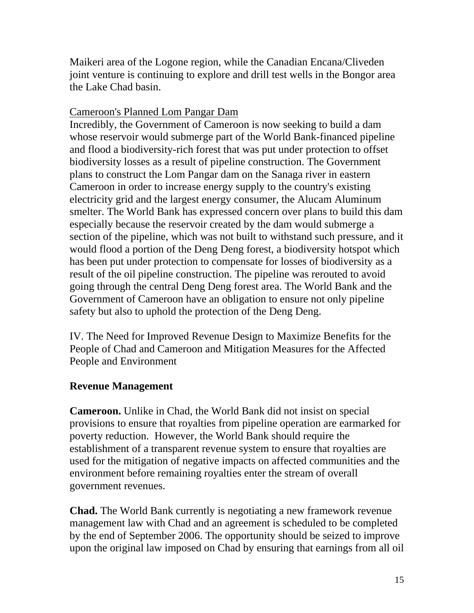Maikeri area of the Logone region, while the Canadian Encana/Cliveden joint venture is continuing to explore and drill test wells in the Bongor area the Lake Chad basin.

## Cameroon's Planned Lom Pangar Dam

Incredibly, the Government of Cameroon is now seeking to build a dam whose reservoir would submerge part of the World Bank-financed pipeline and flood a biodiversity-rich forest that was put under protection to offset biodiversity losses as a result of pipeline construction. The Government plans to construct the Lom Pangar dam on the Sanaga river in eastern Cameroon in order to increase energy supply to the country's existing electricity grid and the largest energy consumer, the Alucam Aluminum smelter. The World Bank has expressed concern over plans to build this dam especially because the reservoir created by the dam would submerge a section of the pipeline, which was not built to withstand such pressure, and it would flood a portion of the Deng Deng forest, a biodiversity hotspot which has been put under protection to compensate for losses of biodiversity as a result of the oil pipeline construction. The pipeline was rerouted to avoid going through the central Deng Deng forest area. The World Bank and the Government of Cameroon have an obligation to ensure not only pipeline safety but also to uphold the protection of the Deng Deng.

IV. The Need for Improved Revenue Design to Maximize Benefits for the People of Chad and Cameroon and Mitigation Measures for the Affected People and Environment

# **Revenue Management**

**Cameroon.** Unlike in Chad, the World Bank did not insist on special provisions to ensure that royalties from pipeline operation are earmarked for poverty reduction. However, the World Bank should require the establishment of a transparent revenue system to ensure that royalties are used for the mitigation of negative impacts on affected communities and the environment before remaining royalties enter the stream of overall government revenues.

**Chad.** The World Bank currently is negotiating a new framework revenue management law with Chad and an agreement is scheduled to be completed by the end of September 2006. The opportunity should be seized to improve upon the original law imposed on Chad by ensuring that earnings from all oil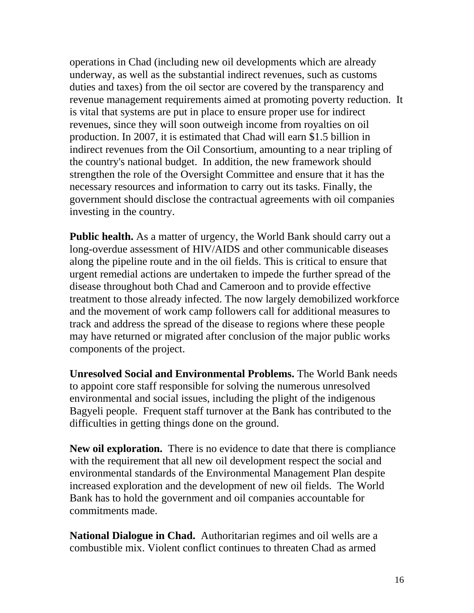operations in Chad (including new oil developments which are already underway, as well as the substantial indirect revenues, such as customs duties and taxes) from the oil sector are covered by the transparency and revenue management requirements aimed at promoting poverty reduction. It is vital that systems are put in place to ensure proper use for indirect revenues, since they will soon outweigh income from royalties on oil production. In 2007, it is estimated that Chad will earn \$1.5 billion in indirect revenues from the Oil Consortium, amounting to a near tripling of the country's national budget. In addition, the new framework should strengthen the role of the Oversight Committee and ensure that it has the necessary resources and information to carry out its tasks. Finally, the government should disclose the contractual agreements with oil companies investing in the country.

Public health. As a matter of urgency, the World Bank should carry out a long-overdue assessment of HIV/AIDS and other communicable diseases along the pipeline route and in the oil fields. This is critical to ensure that urgent remedial actions are undertaken to impede the further spread of the disease throughout both Chad and Cameroon and to provide effective treatment to those already infected. The now largely demobilized workforce and the movement of work camp followers call for additional measures to track and address the spread of the disease to regions where these people may have returned or migrated after conclusion of the major public works components of the project.

**Unresolved Social and Environmental Problems.** The World Bank needs to appoint core staff responsible for solving the numerous unresolved environmental and social issues, including the plight of the indigenous Bagyeli people. Frequent staff turnover at the Bank has contributed to the difficulties in getting things done on the ground.

**New oil exploration.** There is no evidence to date that there is compliance with the requirement that all new oil development respect the social and environmental standards of the Environmental Management Plan despite increased exploration and the development of new oil fields. The World Bank has to hold the government and oil companies accountable for commitments made.

**National Dialogue in Chad.** Authoritarian regimes and oil wells are a combustible mix. Violent conflict continues to threaten Chad as armed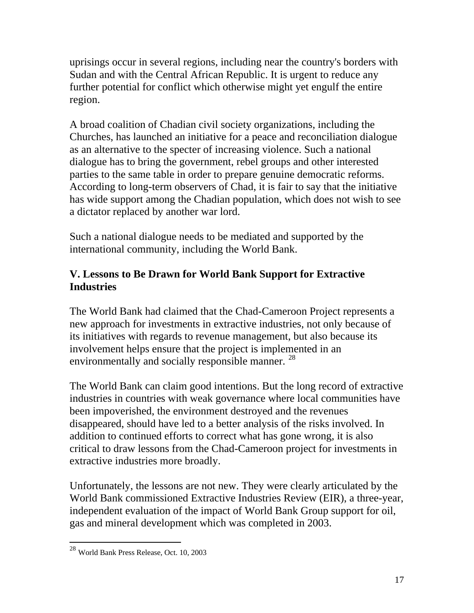uprisings occur in several regions, including near the country's borders with Sudan and with the Central African Republic. It is urgent to reduce any further potential for conflict which otherwise might yet engulf the entire region.

A broad coalition of Chadian civil society organizations, including the Churches, has launched an initiative for a peace and reconciliation dialogue as an alternative to the specter of increasing violence. Such a national dialogue has to bring the government, rebel groups and other interested parties to the same table in order to prepare genuine democratic reforms. According to long-term observers of Chad, it is fair to say that the initiative has wide support among the Chadian population, which does not wish to see a dictator replaced by another war lord.

Such a national dialogue needs to be mediated and supported by the international community, including the World Bank.

# **V. Lessons to Be Drawn for World Bank Support for Extractive Industries**

The World Bank had claimed that the Chad-Cameroon Project represents a new approach for investments in extractive industries, not only because of its initiatives with regards to revenue management, but also because its involvement helps ensure that the project is implemented in an environmentally and socially responsible manner. <sup>[28](#page-16-0)</sup>

The World Bank can claim good intentions. But the long record of extractive industries in countries with weak governance where local communities have been impoverished, the environment destroyed and the revenues disappeared, should have led to a better analysis of the risks involved. In addition to continued efforts to correct what has gone wrong, it is also critical to draw lessons from the Chad-Cameroon project for investments in extractive industries more broadly.

Unfortunately, the lessons are not new. They were clearly articulated by the World Bank commissioned Extractive Industries Review (EIR), a three-year, independent evaluation of the impact of World Bank Group support for oil, gas and mineral development which was completed in 2003.

<span id="page-16-0"></span><sup>28</sup> World Bank Press Release, Oct. 10, 2003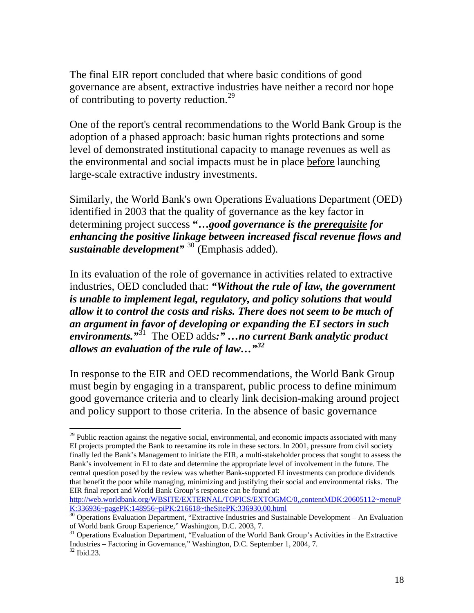The final EIR report concluded that where basic conditions of good governance are absent, extractive industries have neither a record nor hope of contributing to poverty reduction.<sup>[29](#page-17-0)</sup>

One of the report's central recommendations to the World Bank Group is the adoption of a phased approach: basic human rights protections and some level of demonstrated institutional capacity to manage revenues as well as the environmental and social impacts must be in place before launching large-scale extractive industry investments.

Similarly, the World Bank's own Operations Evaluations Department (OED) identified in 2003 that the quality of governance as the key factor in determining project success **"…***good governance is the prerequisite for enhancing the positive linkage between increased fiscal revenue flows and sustainable development"* [30](#page-17-1) (Emphasis added).

In its evaluation of the role of governance in activities related to extractive industries, OED concluded that: *"Without the rule of law, the government is unable to implement legal, regulatory, and policy solutions that would allow it to control the costs and risks. There does not seem to be much of an argument in favor of developing or expanding the EI sectors in such environments."*[31](#page-17-2) The OED adds*:" …no current Bank analytic product allows an evaluation of the rule of law…"[32](#page-17-3)*

In response to the EIR and OED recommendations, the World Bank Group must begin by engaging in a transparent, public process to define minimum good governance criteria and to clearly link decision-making around project and policy support to those criteria. In the absence of basic governance

<span id="page-17-0"></span> $29$  Public reaction against the negative social, environmental, and economic impacts associated with many EI projects prompted the Bank to reexamine its role in these sectors. In 2001, pressure from civil society finally led the Bank's Management to initiate the EIR, a multi-stakeholder process that sought to assess the Bank's involvement in EI to date and determine the appropriate level of involvement in the future. The central question posed by the review was whether Bank-supported EI investments can produce dividends that benefit the poor while managing, minimizing and justifying their social and environmental risks. The EIR final report and World Bank Group's response can be found at:

[http://web.worldbank.org/WBSITE/EXTERNAL/TOPICS/EXTOGMC/0,,contentMDK:20605112~menuP](http://web.worldbank.org/WBSITE/EXTERNAL/TOPICS/EXTOGMC/0,,contentMDK:20605112%7EmenuPK:336936%7EpagePK:148956%7EpiPK:216618%7EtheSitePK:336930,00.html) [K:336936~pagePK:148956~piPK:216618~theSitePK:336930,00.html](http://web.worldbank.org/WBSITE/EXTERNAL/TOPICS/EXTOGMC/0,,contentMDK:20605112%7EmenuPK:336936%7EpagePK:148956%7EpiPK:216618%7EtheSitePK:336930,00.html)

<span id="page-17-1"></span><sup>&</sup>lt;sup>30</sup> Operations Evaluation Department, "Extractive Industries and Sustainable Development – An Evaluation of World bank Group Experience," Washington, D.C. 2003, 7.

<span id="page-17-3"></span><span id="page-17-2"></span><sup>&</sup>lt;sup>31</sup> Operations Evaluation Department, "Evaluation of the World Bank Group's Activities in the Extractive Industries – Factoring in Governance," Washington, D.C. September 1, 2004, 7.  $32$  Ibid.23.